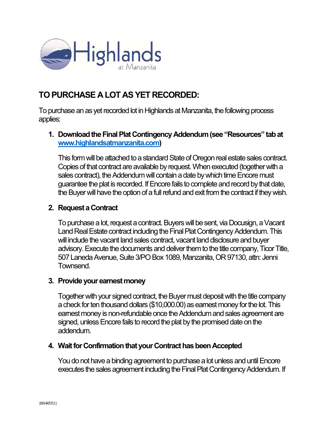

# TO PURCHASE A LOT AS YET RECORDED:

To purchase an as yet recorded lot in Highlands at Manzanita, the following process applies:

## 1. Download the Final Plat Contingency Addendum (see "Resources" tab at www.highlandsatmanzanita.com)

This form will be attached to a standard State of Oregon real estate sales contract. Copies of that contract are available by request. When executed (together with a sales contract), the Addendum will contain a date by which time Encore must guarantee the plat is recorded. If Encore fails to complete and record by that date, the Buyer will have the option of a full refund and exit from the contract if they wish.

## 2. Request a Contract

To purchase a lot, request a contract. Buyers will be sent, via Docusign, a Vacant Land Real Estate contract including the Final Plat Contingency Addendum. This will include the vacant land sales contract, vacant land disclosure and buyer advisory. Execute the documents and deliver them to the title company, Ticor Title, 507 Laneda Avenue, Suite 3/PO Box 1089, Manzanita, OR 97130, attn: Jenni Townsend.

#### 3. Provide your earnest money

Together with your signed contract, the Buyer must deposit with the title company a check for ten thousand dollars (\$10,000.00) as earnest money for the lot. This earnest money is non-refundable once the Addendum and sales agreement are signed, unless Encore fails to record the plat by the promised date on the addendum.

#### 4. Wait for Confirmation that your Contract has been Accepted

You do not have a binding agreement to purchase a lot unless and until Encore executes the sales agreement including the Final Plat Contingency Addendum. If